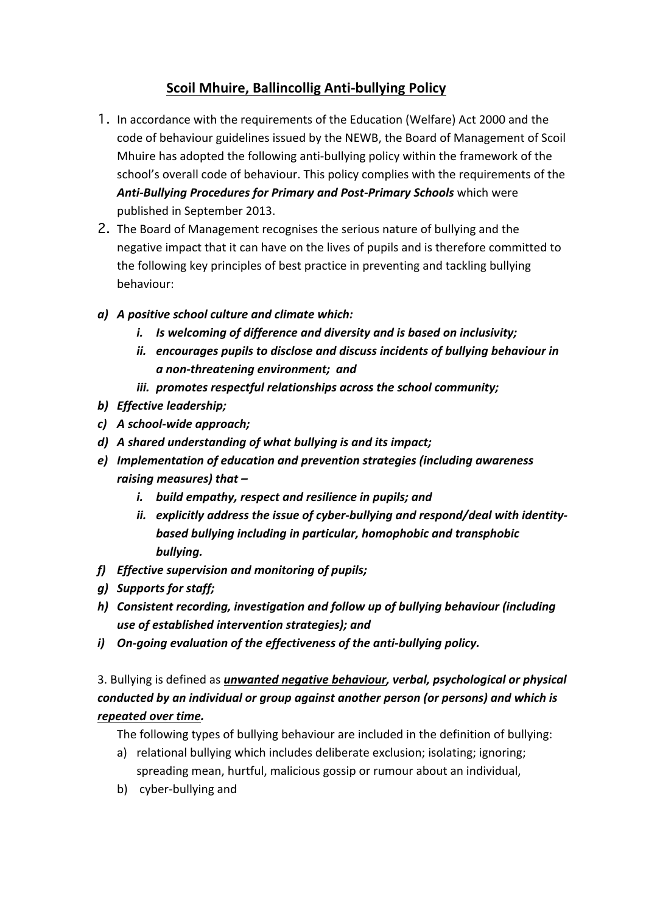## **Scoil Mhuire, Ballincollig Anti-bullying Policy**

- 1. In accordance with the requirements of the Education (Welfare) Act 2000 and the code of behaviour guidelines issued by the NEWB, the Board of Management of Scoil Mhuire has adopted the following anti-bullying policy within the framework of the school's overall code of behaviour. This policy complies with the requirements of the Anti-Bullying Procedures for Primary and Post-Primary Schools which were published in September 2013.
- 2. The Board of Management recognises the serious nature of bullying and the negative impact that it can have on the lives of pupils and is therefore committed to the following key principles of best practice in preventing and tackling bullying behaviour:
- *a) A positive school culture and climate which:*
	- *i.* Is welcoming of difference and diversity and is based on inclusivity;
	- *ii.* encourages pupils to disclose and discuss incidents of bullying behaviour in *a non-threatening environment; and*
	- iii. promotes respectful relationships across the school community;
- *b) Effective leadership;*
- *c) A school-wide approach;*
- d) A shared understanding of what bullying is and its impact;
- *e*) Implementation of education and prevention strategies (including awareness *raising measures)* that  $$ 
	- *i.* build empathy, respect and resilience in pupils; and
	- ii. explicitly address the issue of cyber-bullying and respond/deal with identity**based bullying including in particular, homophobic and transphobic** *bullying.*
- *f) Effective supervision and monitoring of pupils;*
- *g) Supports for staff;*
- *h)* Consistent recording, investigation and follow up of bullying behaviour (including use of established intervention strategies); and
- *i*) On-going evaluation of the effectiveness of the anti-bullying policy.

## 3. Bullying is defined as *unwanted negative behaviour, verbal, psychological or physical conducted by an individual or group against another person (or persons) and which is repeated over time.*

The following types of bullying behaviour are included in the definition of bullying:

- a) relational bullying which includes deliberate exclusion; isolating; ignoring; spreading mean, hurtful, malicious gossip or rumour about an individual,
- b) cyber-bullying and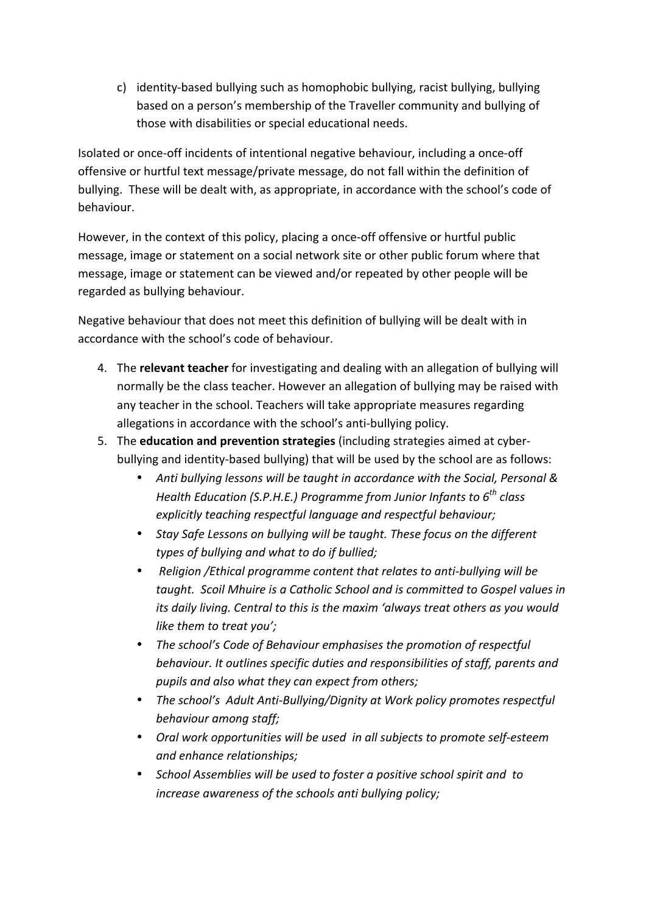c) identity-based bullying such as homophobic bullying, racist bullying, bullying based on a person's membership of the Traveller community and bullying of those with disabilities or special educational needs.

Isolated or once-off incidents of intentional negative behaviour, including a once-off offensive or hurtful text message/private message, do not fall within the definition of bullying. These will be dealt with, as appropriate, in accordance with the school's code of behaviour.

However, in the context of this policy, placing a once-off offensive or hurtful public message, image or statement on a social network site or other public forum where that message, image or statement can be viewed and/or repeated by other people will be regarded as bullying behaviour.

Negative behaviour that does not meet this definition of bullying will be dealt with in accordance with the school's code of behaviour.

- 4. The **relevant teacher** for investigating and dealing with an allegation of bullying will normally be the class teacher. However an allegation of bullying may be raised with any teacher in the school. Teachers will take appropriate measures regarding allegations in accordance with the school's anti-bullying policy.
- 5. The **education and prevention strategies** (including strategies aimed at cyberbullying and identity-based bullying) that will be used by the school are as follows:
	- Anti bullying lessons will be taught in accordance with the Social, Personal & *Health Education (S.P.H.E.) Programme from Junior Infants to*  $6^{th}$  *class* explicitly teaching respectful language and respectful behaviour;
	- Stay Safe Lessons on bullying will be taught. These focus on the different types of bullying and what to do if bullied;
	- *Religion /Ethical programme content that relates to anti-bullying will be taught.* Scoil Mhuire is a Catholic School and is committed to Gospel values in *its* daily living. Central to this is the maxim 'always treat others as you would *like them to treat you';*
	- The school's Code of Behaviour emphasises the promotion of respectful behaviour. It outlines specific duties and responsibilities of staff, parents and *pupils and also what they can expect from others;*
	- The school's Adult Anti-Bullying/Dignity at Work policy promotes respectful behaviour among staff;
	- Oral work opportunities will be used in all subjects to promote self-esteem *and enhance relationships;*
	- School Assemblies will be used to foster a positive school spirit and to increase awareness of the schools anti bullying policy;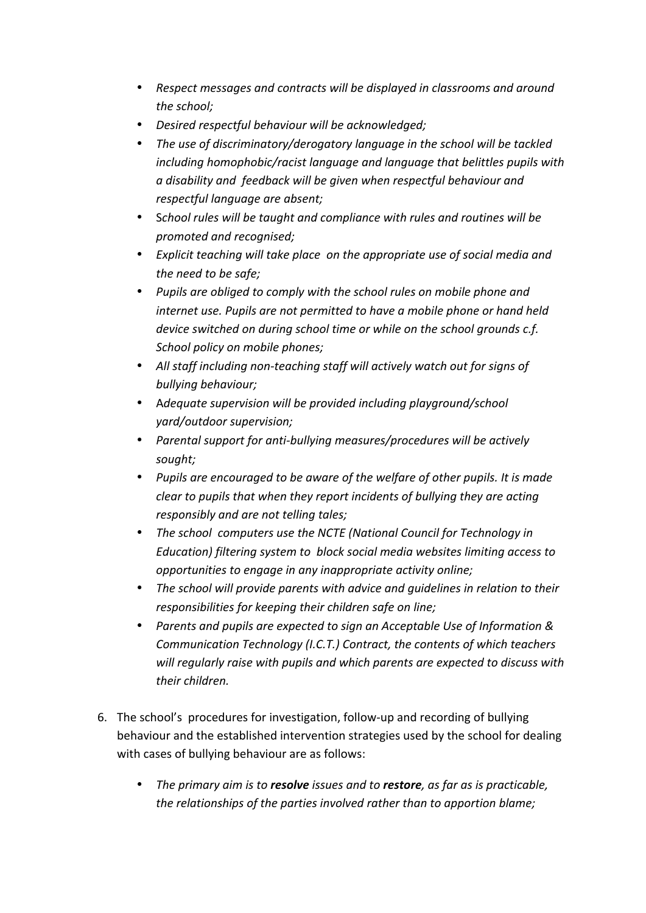- Respect messages and contracts will be displayed in classrooms and around the school;
- *Desired respectful behaviour will be acknowledged;*
- The use of discriminatory/derogatory language in the school will be tackled *including homophobic/racist language and language that belittles pupils with a disability and feedback will be given when respectful behaviour and respectful language are absent;*
- School rules will be taught and compliance with rules and routines will be *promoted and recognised;*
- Explicit teaching will take place on the appropriate use of social media and the need to be safe;
- Pupils are obliged to comply with the school rules on mobile phone and *internet use. Pupils are not permitted to have a mobile phone or hand held device switched on during school time or while on the school grounds c.f. School policy on mobile phones;*
- All staff including non-teaching staff will actively watch out for signs of *bullying behaviour;*
- Adequate supervision will be provided including playground/school *yard/outdoor supervision;*
- Parental support for anti-bullying measures/procedures will be actively *sought;*
- Pupils are encouraged to be aware of the welfare of other pupils. It is made *clear* to pupils that when they report incidents of bullying they are acting *responsibly and are not telling tales;*
- The school computers use the NCTE (National Council for Technology in *Education)* filtering system to block social media websites limiting access to *opportunities to engage in any inappropriate activity online;*
- The school will provide parents with advice and quidelines in relation to their *responsibilities for keeping their children safe on line;*
- Parents and pupils are expected to sign an Acceptable Use of *Information* & *Communication Technology (I.C.T.) Contract, the contents of which teachers* will regularly raise with pupils and which parents are expected to discuss with *their children.*
- 6. The school's procedures for investigation, follow-up and recording of bullying behaviour and the established intervention strategies used by the school for dealing with cases of bullying behaviour are as follows:
	- The primary aim is to **resolve** issues and to **restore**, as far as is practicable, *the relationships of the parties involved rather than to apportion blame;*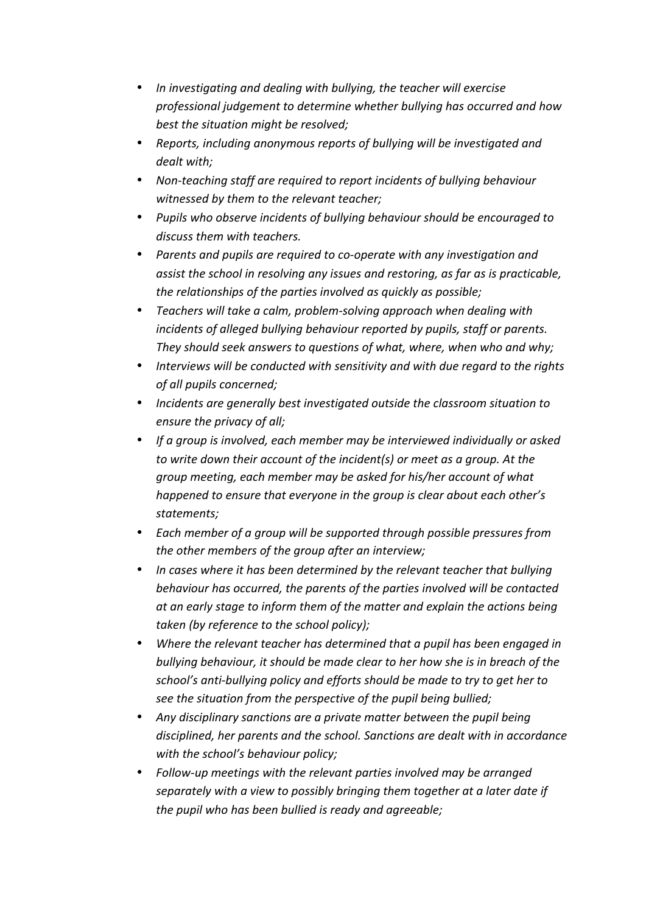- In investigating and dealing with bullying, the teacher will exercise professional judgement to determine whether bullying has occurred and how best the situation might be resolved;
- Reports, including anonymous reports of bullying will be investigated and *dealt with;*
- Non-teaching staff are required to report incidents of bullying behaviour witnessed by them to the relevant teacher;
- Pupils who observe incidents of bullying behaviour should be encouraged to *discuss them with teachers.*
- Parents and pupils are required to co-operate with any investigation and *assist the school in resolving any issues and restoring, as far as is practicable,* the relationships of the parties involved as quickly as possible;
- Teachers will take a calm, problem-solving approach when dealing with *incidents of alleged bullying behaviour reported by pupils, staff or parents.* They should seek answers to questions of what, where, when who and why;
- Interviews will be conducted with sensitivity and with due regard to the rights *of all pupils concerned;*
- Incidents are generally best investigated outside the classroom situation to *ensure the privacy of all;*
- If a group is involved, each member may be interviewed *individually* or asked *to* write down their account of the incident(s) or meet as a group. At the *group* meeting, each member may be asked for his/her account of what *happened to ensure that everyone in the group is clear about each other's statements;*
- Each member of a group will be supported through possible pressures from the other members of the group after an interview;
- In cases where it has been determined by the relevant teacher that bullying *behaviour has occurred, the parents of the parties involved will be contacted* at an early stage to inform them of the matter and explain the actions being taken (by reference to the school policy);
- Where the relevant teacher has determined that a pupil has been engaged in *bullying behaviour, it should be made clear to her how she is in breach of the* school's anti-bullying policy and efforts should be made to try to get her to see the situation from the perspective of the pupil being bullied;
- Any disciplinary sanctions are a private matter between the pupil being disciplined, her parents and the school. Sanctions are dealt with in accordance with the school's behaviour policy;
- Follow-up meetings with the relevant parties involved may be arranged *separately* with a view to possibly bringing them together at a later date if the pupil who has been bullied is ready and agreeable;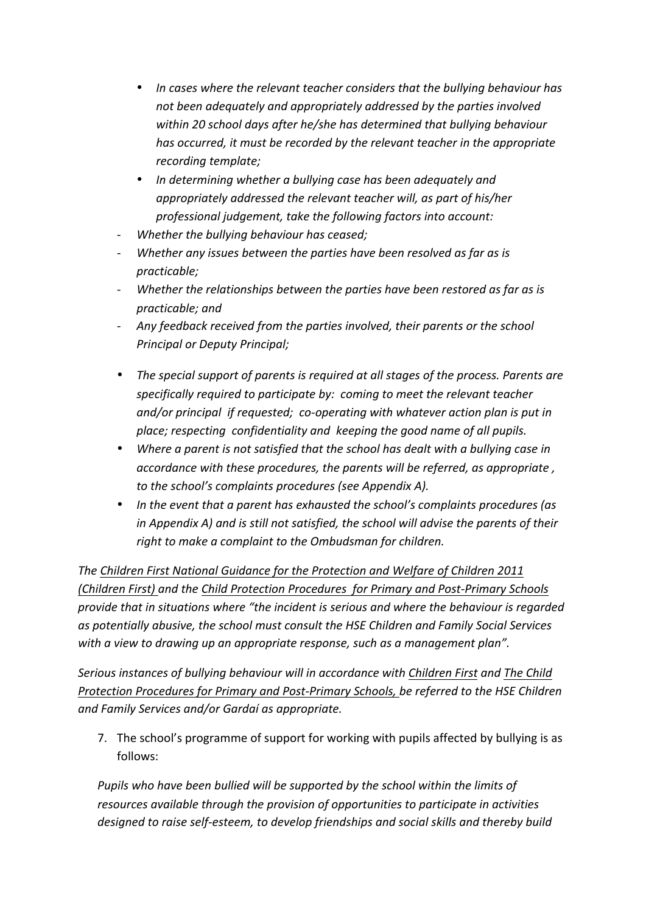- In cases where the relevant teacher considers that the bullying behaviour has not been adequately and appropriately addressed by the parties involved within 20 school days after he/she has determined that bullying behaviour *has occurred, it must be recorded by the relevant teacher in the appropriate recording template;*
- In determining whether a bullying case has been adequately and *appropriately addressed the relevant teacher will, as part of his/her professional judgement, take the following factors into account:*
- *Whether the bullying behaviour has ceased;*
- *Whether any issues between the parties have been resolved as far as is practicable;*
- Whether the relationships between the parties have been restored as far as is *practicable; and*
- Any feedback received from the parties involved, their parents or the school *Principal or Deputy Principal;*
- The special support of parents is required at all stages of the process. Parents are *specifically required to participate by: coming to meet the relevant teacher* and/or principal if requested; co-operating with whatever action plan is put in *place; respecting confidentiality and keeping the good name of all pupils.*
- Where a parent is not satisfied that the school has dealt with a bullying case in *accordance with these procedures, the parents will be referred, as appropriate, to the school's complaints procedures (see Appendix A).*
- In the event that a parent has exhausted the school's complaints procedures (as *in* Appendix A) and is still not satisfied, the school will advise the parents of their right to make a complaint to the Ombudsman for children.

The Children First National Guidance for the Protection and Welfare of Children 2011 *(Children First)* and the Child Protection Procedures for Primary and Post-Primary Schools provide that in situations where "the incident is serious and where the behaviour is regarded as potentially abusive, the school must consult the HSE Children and Family Social Services with a view to drawing up an appropriate response, such as a management plan".

Serious instances of bullying behaviour will in accordance with Children First and The Child *Protection Procedures for Primary and Post-Primary Schools, be referred to the HSE Children and Family Services and/or Gardaí as appropriate.*

7. The school's programme of support for working with pupils affected by bullying is as follows:

*Pupils* who have been bullied will be supported by the school within the limits of resources available through the provision of opportunities to participate in activities designed to raise self-esteem, to develop friendships and social skills and thereby build